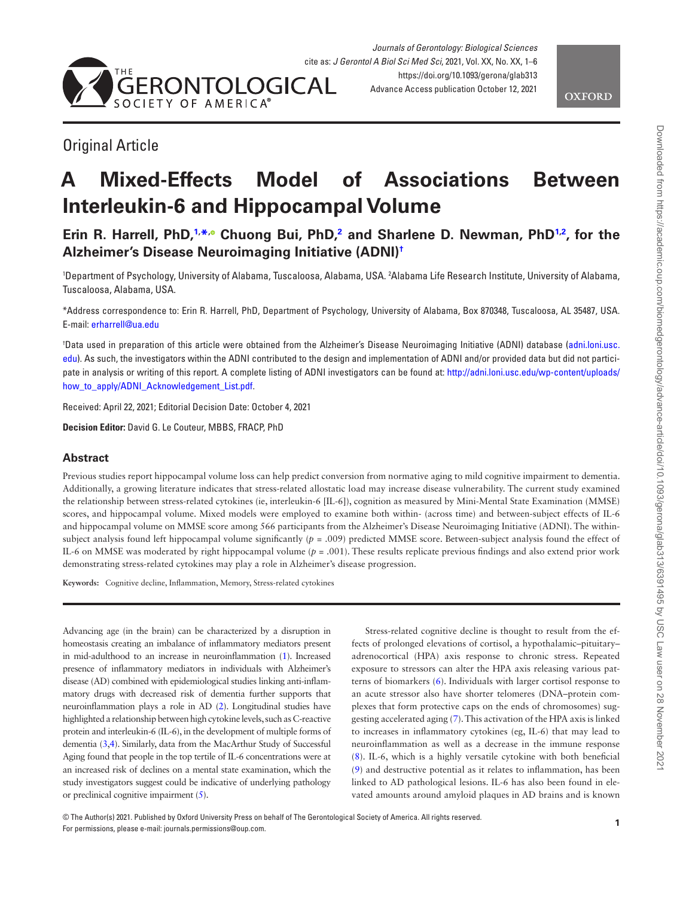



# Original Article

# **A Mixed-Effects Model of Associations Between Interleukin-6 and Hippocampal Volume**

**Erin R. Harrell, PhD[,1,](#page-0-0) [\\*](#page-0-1)[,](https://orcid.org/0000-0002-5355-5232) Chuong Bui, PhD,[2](#page-0-2) and Sharlene D. Newman, PhD[1,](#page-0-0)[2](#page-0-2) , for the Alzheimer's Disease Neuroimaging Initiative (ADNI[\)†](#page-0-3)**

<span id="page-0-2"></span><span id="page-0-0"></span>'Department of Psychology, University of Alabama, Tuscaloosa, Alabama, USA. <sup>2</sup>Alabama Life Research Institute, University of Alabama, Tuscaloosa, Alabama, USA.

<span id="page-0-1"></span>\*Address correspondence to: Erin R. Harrell, PhD, Department of Psychology, University of Alabama, Box 870348, Tuscaloosa, AL 35487, USA. E-mail: [erharrell@ua.edu](mailto:erharrell@ua.edu?subject=)

<span id="page-0-3"></span>† Data used in preparation of this article were obtained from the Alzheimer's Disease Neuroimaging Initiative (ADNI) database ([adni.loni.usc.](http://adni.loni.usc.edu) [edu](http://adni.loni.usc.edu)). As such, the investigators within the ADNI contributed to the design and implementation of ADNI and/or provided data but did not participate in analysis or writing of this report. A complete listing of ADNI investigators can be found at: [http://adni.loni.usc.edu/wp-content/uploads/](http://adni.loni.usc.edu/wp-content/uploads/how_to_apply/ADNI_Acknowledgement_List.pdf) [how\\_to\\_apply/ADNI\\_Acknowledgement\\_List.pdf](http://adni.loni.usc.edu/wp-content/uploads/how_to_apply/ADNI_Acknowledgement_List.pdf).

Received: April 22, 2021; Editorial Decision Date: October 4, 2021

**Decision Editor:** David G. Le Couteur, MBBS, FRACP, PhD

# **Abstract**

Previous studies report hippocampal volume loss can help predict conversion from normative aging to mild cognitive impairment to dementia. Additionally, a growing literature indicates that stress-related allostatic load may increase disease vulnerability. The current study examined the relationship between stress-related cytokines (ie, interleukin-6 [IL-6]), cognition as measured by Mini-Mental State Examination (MMSE) scores, and hippocampal volume. Mixed models were employed to examine both within- (across time) and between-subject effects of IL-6 and hippocampal volume on MMSE score among 566 participants from the Alzheimer's Disease Neuroimaging Initiative (ADNI). The withinsubject analysis found left hippocampal volume significantly (*p* = .009) predicted MMSE score. Between-subject analysis found the effect of IL-6 on MMSE was moderated by right hippocampal volume (*p* = .001). These results replicate previous findings and also extend prior work demonstrating stress-related cytokines may play a role in Alzheimer's disease progression.

**Keywords:** Cognitive decline, Inflammation, Memory, Stress-related cytokines

Advancing age (in the brain) can be characterized by a disruption in homeostasis creating an imbalance of inflammatory mediators present in mid-adulthood to an increase in neuroinflammation [\(1](#page-4-0)). Increased presence of inflammatory mediators in individuals with Alzheimer's disease (AD) combined with epidemiological studies linking anti-inflammatory drugs with decreased risk of dementia further supports that neuroinflammation plays a role in AD ([2\)](#page-4-1). Longitudinal studies have highlighted a relationship between high cytokine levels, such as C-reactive protein and interleukin-6 (IL-6), in the development of multiple forms of dementia [\(3,](#page-4-2)[4\)](#page-4-3). Similarly, data from the MacArthur Study of Successful Aging found that people in the top tertile of IL-6 concentrations were at an increased risk of declines on a mental state examination, which the study investigators suggest could be indicative of underlying pathology or preclinical cognitive impairment [\(5](#page-4-4)).

Stress-related cognitive decline is thought to result from the effects of prolonged elevations of cortisol, a hypothalamic–pituitary– adrenocortical (HPA) axis response to chronic stress. Repeated exposure to stressors can alter the HPA axis releasing various patterns of biomarkers ([6](#page-4-5)). Individuals with larger cortisol response to an acute stressor also have shorter telomeres (DNA–protein complexes that form protective caps on the ends of chromosomes) suggesting accelerated aging [\(7](#page-4-6)). This activation of the HPA axis is linked to increases in inflammatory cytokines (eg, IL-6) that may lead to neuroinflammation as well as a decrease in the immune response [\(8\)](#page-4-7). IL-6, which is a highly versatile cytokine with both beneficial [\(9\)](#page-4-8) and destructive potential as it relates to inflammation, has been linked to AD pathological lesions. IL-6 has also been found in elevated amounts around amyloid plaques in AD brains and is known

© The Author(s) 2021. Published by Oxford University Press on behalf of The Gerontological Society of America. All rights reserved. For permissions, please e-mail: journals.permissions@oup.com.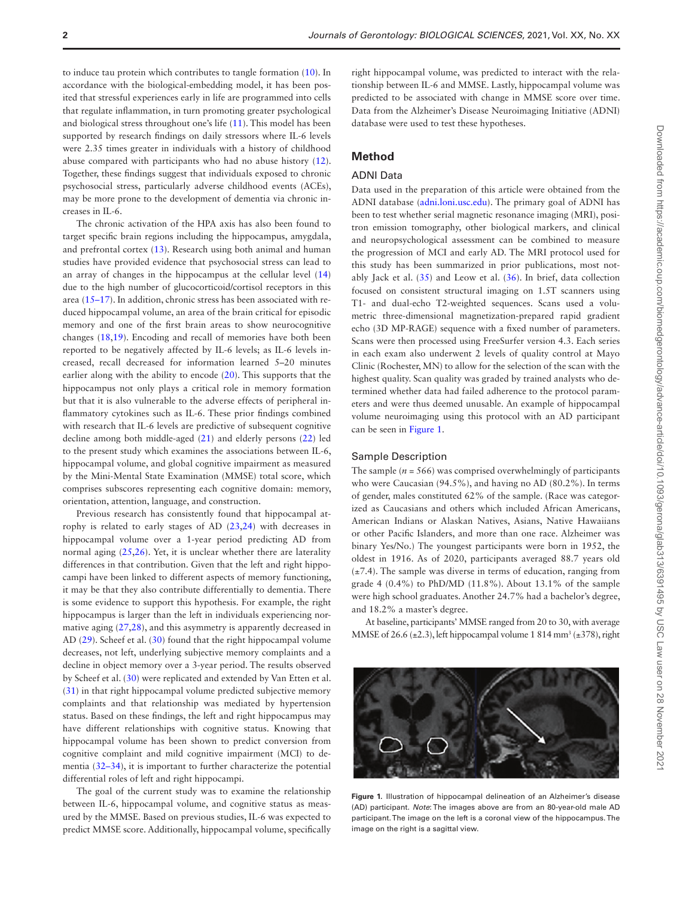to induce tau protein which contributes to tangle formation ([10\)](#page-4-9). In accordance with the biological-embedding model, it has been posited that stressful experiences early in life are programmed into cells that regulate inflammation, in turn promoting greater psychological and biological stress throughout one's life ([11\)](#page-4-10). This model has been supported by research findings on daily stressors where IL-6 levels were 2.35 times greater in individuals with a history of childhood abuse compared with participants who had no abuse history [\(12](#page-4-11)). Together, these findings suggest that individuals exposed to chronic psychosocial stress, particularly adverse childhood events (ACEs), may be more prone to the development of dementia via chronic increases in IL-6.

The chronic activation of the HPA axis has also been found to target specific brain regions including the hippocampus, amygdala, and prefrontal cortex [\(13](#page-4-12)). Research using both animal and human studies have provided evidence that psychosocial stress can lead to an array of changes in the hippocampus at the cellular level [\(14\)](#page-4-13) due to the high number of glucocorticoid/cortisol receptors in this area ([15–](#page-4-14)[17\)](#page-4-15). In addition, chronic stress has been associated with reduced hippocampal volume, an area of the brain critical for episodic memory and one of the first brain areas to show neurocognitive changes [\(18](#page-4-16),[19](#page-4-17)). Encoding and recall of memories have both been reported to be negatively affected by IL-6 levels; as IL-6 levels increased, recall decreased for information learned 5–20 minutes earlier along with the ability to encode ([20\)](#page-4-18). This supports that the hippocampus not only plays a critical role in memory formation but that it is also vulnerable to the adverse effects of peripheral inflammatory cytokines such as IL-6. These prior findings combined with research that IL-6 levels are predictive of subsequent cognitive decline among both middle-aged [\(21](#page-4-19)) and elderly persons ([22\)](#page-5-0) led to the present study which examines the associations between IL-6, hippocampal volume, and global cognitive impairment as measured by the Mini-Mental State Examination (MMSE) total score, which comprises subscores representing each cognitive domain: memory, orientation, attention, language, and construction.

Previous research has consistently found that hippocampal atrophy is related to early stages of AD [\(23](#page-5-1)[,24](#page-5-2)) with decreases in hippocampal volume over a 1-year period predicting AD from normal aging [\(25](#page-5-3),[26](#page-5-4)). Yet, it is unclear whether there are laterality differences in that contribution. Given that the left and right hippocampi have been linked to different aspects of memory functioning, it may be that they also contribute differentially to dementia. There is some evidence to support this hypothesis. For example, the right hippocampus is larger than the left in individuals experiencing normative aging [\(27](#page-5-5),[28](#page-5-6)), and this asymmetry is apparently decreased in AD [\(29](#page-5-7)). Scheef et al. [\(30](#page-5-8)) found that the right hippocampal volume decreases, not left, underlying subjective memory complaints and a decline in object memory over a 3-year period. The results observed by Scheef et al. [\(30](#page-5-8)) were replicated and extended by Van Etten et al. [\(31](#page-5-9)) in that right hippocampal volume predicted subjective memory complaints and that relationship was mediated by hypertension status. Based on these findings, the left and right hippocampus may have different relationships with cognitive status. Knowing that hippocampal volume has been shown to predict conversion from cognitive complaint and mild cognitive impairment (MCI) to dementia [\(32](#page-5-10)[–34](#page-5-11)), it is important to further characterize the potential differential roles of left and right hippocampi.

The goal of the current study was to examine the relationship between IL-6, hippocampal volume, and cognitive status as measured by the MMSE. Based on previous studies, IL-6 was expected to predict MMSE score. Additionally, hippocampal volume, specifically

right hippocampal volume, was predicted to interact with the relationship between IL-6 and MMSE. Lastly, hippocampal volume was predicted to be associated with change in MMSE score over time. Data from the Alzheimer's Disease Neuroimaging Initiative (ADNI) database were used to test these hypotheses.

# **Method**

# ADNI Data

Data used in the preparation of this article were obtained from the ADNI database [\(adni.loni.usc.edu\)](http://adni.loni.usc.edu). The primary goal of ADNI has been to test whether serial magnetic resonance imaging (MRI), positron emission tomography, other biological markers, and clinical and neuropsychological assessment can be combined to measure the progression of MCI and early AD. The MRI protocol used for this study has been summarized in prior publications, most notably Jack et al. ([35\)](#page-5-12) and Leow et al. [\(36](#page-5-13)). In brief, data collection focused on consistent structural imaging on 1.5T scanners using T1- and dual-echo T2-weighted sequences. Scans used a volumetric three-dimensional magnetization-prepared rapid gradient echo (3D MP-RAGE) sequence with a fixed number of parameters. Scans were then processed using FreeSurfer version 4.3. Each series in each exam also underwent 2 levels of quality control at Mayo Clinic (Rochester, MN) to allow for the selection of the scan with the highest quality. Scan quality was graded by trained analysts who determined whether data had failed adherence to the protocol parameters and were thus deemed unusable. An example of hippocampal volume neuroimaging using this protocol with an AD participant can be seen in [Figure 1](#page-1-0).

#### Sample Description

The sample  $(n = 566)$  was comprised overwhelmingly of participants who were Caucasian (94.5%), and having no AD (80.2%). In terms of gender, males constituted 62% of the sample. (Race was categorized as Caucasians and others which included African Americans, American Indians or Alaskan Natives, Asians, Native Hawaiians or other Pacific Islanders, and more than one race. Alzheimer was binary Yes/No.) The youngest participants were born in 1952, the oldest in 1916. As of 2020, participants averaged 88.7 years old  $(\pm 7.4)$ . The sample was diverse in terms of education, ranging from grade 4 (0.4%) to PhD/MD (11.8%). About 13.1% of the sample were high school graduates. Another 24.7% had a bachelor's degree, and 18.2% a master's degree.

At baseline, participants' MMSE ranged from 20 to 30, with average MMSE of 26.6 ( $\pm$ 2.3), left hippocampal volume 1 814 mm<sup>3</sup> ( $\pm$ 378), right

<span id="page-1-0"></span>

**Figure 1.** Illustration of hippocampal delineation of an Alzheimer's disease (AD) participant. *Note*: The images above are from an 80-year-old male AD participant. The image on the left is a coronal view of the hippocampus. The image on the right is a sagittal view.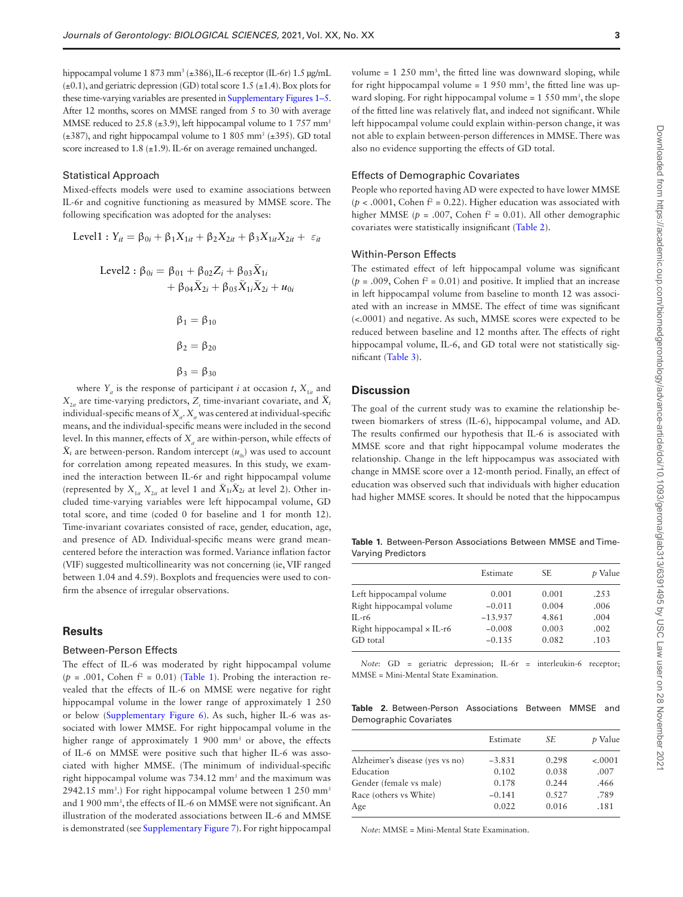hippocampal volume 1 873 mm<sup>3</sup> (±386), IL-6 receptor (IL-6r) 1.5 µg/mL  $(\pm 0.1)$ , and geriatric depression (GD) total score 1.5 ( $\pm 1.4$ ). Box plots for these time-varying variables are presented in [Supplementary Figures 1–5.](http://academic.oup.com/biomedgerontology/article-lookup/doi/10.1093/gerona/glab313#supplementary-data) After 12 months, scores on MMSE ranged from 5 to 30 with average MMSE reduced to 25.8 (±3.9), left hippocampal volume to 1 757 mm*<sup>3</sup>* (±387), and right hippocampal volume to 1 805 mm*<sup>3</sup>* (±395). GD total score increased to 1.8 (±1.9). IL-6r on average remained unchanged.

#### Statistical Approach

Mixed-effects models were used to examine associations between IL-6r and cognitive functioning as measured by MMSE score. The following specification was adopted for the analyses:

Level1: 
$$
Y_{it} = \beta_{0i} + \beta_1 X_{1it} + \beta_2 X_{2it} + \beta_3 X_{1it} X_{2it} + \varepsilon_{it}
$$

\n
$$
\text{Level2}: \beta_{0i} = \beta_{01} + \beta_{02} Z_i + \beta_{03} \bar{X}_{1i} + \beta_{04} \bar{X}_{2i} + \beta_{05} \bar{X}_{1i} \bar{X}_{2i} + u_{0i}
$$
\n

$$
\beta_1 = \beta_{10}
$$

$$
\beta_2 = \beta_{20}
$$

$$
\beta_3 = \beta_{30}
$$

where  $Y_i$  is the response of participant *i* at occasion *t*,  $X_{1i}$  and  $X_{2it}$  are time-varying predictors,  $Z_i$  time-invariant covariate, and  $\bar{X}_i$ individual-specific means of  $X_i$ .  $X_i$  was centered at individual-specific means, and the individual-specific means were included in the second level. In this manner, effects of *X<sub>it</sub>* are within-person, while effects of  $\bar{X}_i$  are between-person. Random intercept ( $u_{0i}$ ) was used to account for correlation among repeated measures. In this study, we examined the interaction between IL-6r and right hippocampal volume (represented by  $X_{1i}$ ,  $X_{2i}$  at level 1 and  $\bar{X}_{1i}\bar{X}_{2i}$  at level 2). Other included time-varying variables were left hippocampal volume, GD total score, and time (coded 0 for baseline and 1 for month 12). Time-invariant covariates consisted of race, gender, education, age, and presence of AD. Individual-specific means were grand meancentered before the interaction was formed. Variance inflation factor (VIF) suggested multicollinearity was not concerning (ie, VIF ranged between 1.04 and 4.59). Boxplots and frequencies were used to confirm the absence of irregular observations.

# **Results**

#### Between-Person Effects

The effect of IL-6 was moderated by right hippocampal volume  $(p = .001,$  Cohen  $f^2 = 0.01$ ) ([Table 1](#page-2-0)). Probing the interaction revealed that the effects of IL-6 on MMSE were negative for right hippocampal volume in the lower range of approximately 1 250 or below ([Supplementary Figure 6](http://academic.oup.com/biomedgerontology/article-lookup/doi/10.1093/gerona/glab313#supplementary-data)). As such, higher IL-6 was associated with lower MMSE. For right hippocampal volume in the higher range of approximately 1 900 mm<sup>3</sup> or above, the effects of IL-6 on MMSE were positive such that higher IL-6 was associated with higher MMSE. (The minimum of individual-specific right hippocampal volume was 734.12 mm*<sup>3</sup>* and the maximum was 2942.15 mm*<sup>3</sup>* .) For right hippocampal volume between 1 250 mm*<sup>3</sup>* and 1 900 mm*<sup>3</sup>* , the effects of IL-6 on MMSE were not significant. An illustration of the moderated associations between IL-6 and MMSE is demonstrated (see [Supplementary Figure 7\)](http://academic.oup.com/biomedgerontology/article-lookup/doi/10.1093/gerona/glab313#supplementary-data). For right hippocampal

volume  $= 1, 250 \text{ mm}^3$ , the fitted line was downward sloping, while for right hippocampal volume  $= 1,950 \text{ mm}^3$ , the fitted line was upward sloping. For right hippocampal volume = 1 550 mm*<sup>3</sup>* , the slope of the fitted line was relatively flat, and indeed not significant. While left hippocampal volume could explain within-person change, it was not able to explain between-person differences in MMSE. There was also no evidence supporting the effects of GD total.

#### Effects of Demographic Covariates

People who reported having AD were expected to have lower MMSE  $(p < .0001,$  Cohen  $f<sup>2</sup> = 0.22$ ). Higher education was associated with higher MMSE ( $p = .007$ , Cohen  $f^2 = 0.01$ ). All other demographic covariates were statistically insignificant ([Table 2](#page-2-1)).

### Within-Person Effects

The estimated effect of left hippocampal volume was significant  $(p = .009, \text{Cohen } f^2 = 0.01)$  and positive. It implied that an increase in left hippocampal volume from baseline to month 12 was associated with an increase in MMSE. The effect of time was significant (<.0001) and negative. As such, MMSE scores were expected to be reduced between baseline and 12 months after. The effects of right hippocampal volume, IL-6, and GD total were not statistically significant [\(Table 3\)](#page-3-0).

# **Discussion**

The goal of the current study was to examine the relationship between biomarkers of stress (IL-6), hippocampal volume, and AD. The results confirmed our hypothesis that IL-6 is associated with MMSE score and that right hippocampal volume moderates the relationship. Change in the left hippocampus was associated with change in MMSE score over a 12-month period. Finally, an effect of education was observed such that individuals with higher education had higher MMSE scores. It should be noted that the hippocampus

<span id="page-2-0"></span>**Table 1.** Between-Person Associations Between MMSE and Time-Varying Predictors

|                                  | Estimate  | SE.   | p Value |
|----------------------------------|-----------|-------|---------|
| Left hippocampal volume          | 0.001     | 0.001 | .253    |
| Right hippocampal volume         | $-0.011$  | 0.004 | .006    |
| $II - r6$                        | $-13.937$ | 4.861 | .004    |
| Right hippocampal $\times$ IL-r6 | $-0.008$  | 0.003 | .002    |
| GD total                         | $-0.135$  | 0.082 | .103    |

*Note*: GD = geriatric depression; IL-6r = interleukin-6 receptor; MMSE = Mini-Mental State Examination.

<span id="page-2-1"></span>

|  | <b>Table 2.</b> Between-Person Associations Between MMSE and |  |  |
|--|--------------------------------------------------------------|--|--|
|  | Demographic Covariates                                       |  |  |

|                                 | Estimate | SЕ    | p Value  |
|---------------------------------|----------|-------|----------|
| Alzheimer's disease (yes vs no) | $-3.831$ | 0.298 | $-.0001$ |
| Education                       | 0.102    | 0.038 | .007     |
| Gender (female vs male)         | 0.178    | 0.244 | .466     |
| Race (others vs White)          | $-0.141$ | 0.527 | .789     |
| Age                             | 0.022    | 0.016 | .181     |

*Note*: MMSE = Mini-Mental State Examination.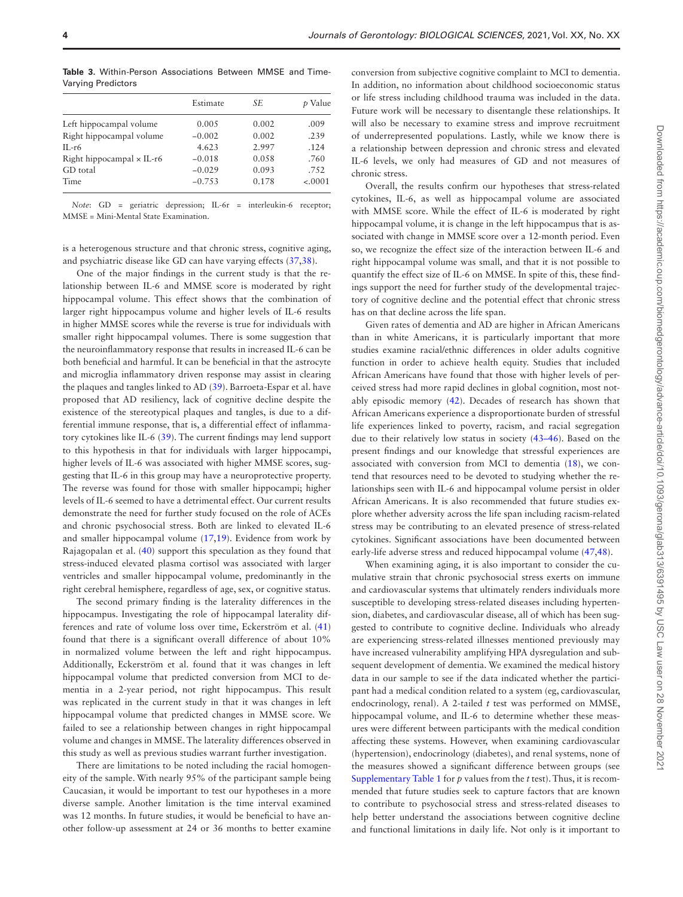|                                  | Estimate | SE    | <i>t</i> Value |
|----------------------------------|----------|-------|----------------|
| Left hippocampal volume          | 0.005    | 0.002 | .009           |
| Right hippocampal volume         | $-0.002$ | 0.002 | .239           |
| $II - r6$                        | 4.623    | 2.997 | .124           |
| Right hippocampal $\times$ IL-r6 | $-0.018$ | 0.058 | .760           |
| GD total                         | $-0.029$ | 0.093 | .752           |
| Time                             | $-0.753$ | 0.178 | $-.0001$       |
|                                  |          |       |                |

<span id="page-3-0"></span>**Table 3.** Within-Person Associations Between MMSE and Time-Varying Predictors

*Note*: GD = geriatric depression; IL-6r = interleukin-6 receptor; MMSE = Mini-Mental State Examination.

is a heterogenous structure and that chronic stress, cognitive aging, and psychiatric disease like GD can have varying effects ([37,](#page-5-14)[38](#page-5-15)).

One of the major findings in the current study is that the relationship between IL-6 and MMSE score is moderated by right hippocampal volume. This effect shows that the combination of larger right hippocampus volume and higher levels of IL-6 results in higher MMSE scores while the reverse is true for individuals with smaller right hippocampal volumes. There is some suggestion that the neuroinflammatory response that results in increased IL-6 can be both beneficial and harmful. It can be beneficial in that the astrocyte and microglia inflammatory driven response may assist in clearing the plaques and tangles linked to AD ([39\)](#page-5-16). Barroeta-Espar et al. have proposed that AD resiliency, lack of cognitive decline despite the existence of the stereotypical plaques and tangles, is due to a differential immune response, that is, a differential effect of inflammatory cytokines like IL-6 [\(39](#page-5-16)). The current findings may lend support to this hypothesis in that for individuals with larger hippocampi, higher levels of IL-6 was associated with higher MMSE scores, suggesting that IL-6 in this group may have a neuroprotective property. The reverse was found for those with smaller hippocampi; higher levels of IL-6 seemed to have a detrimental effect. Our current results demonstrate the need for further study focused on the role of ACEs and chronic psychosocial stress. Both are linked to elevated IL-6 and smaller hippocampal volume ([17](#page-4-15),[19\)](#page-4-17). Evidence from work by Rajagopalan et al. ([40](#page-5-17)) support this speculation as they found that stress-induced elevated plasma cortisol was associated with larger ventricles and smaller hippocampal volume, predominantly in the right cerebral hemisphere, regardless of age, sex, or cognitive status.

The second primary finding is the laterality differences in the hippocampus. Investigating the role of hippocampal laterality differences and rate of volume loss over time, Eckerström et al. [\(41\)](#page-5-18) found that there is a significant overall difference of about 10% in normalized volume between the left and right hippocampus. Additionally, Eckerström et al. found that it was changes in left hippocampal volume that predicted conversion from MCI to dementia in a 2-year period, not right hippocampus. This result was replicated in the current study in that it was changes in left hippocampal volume that predicted changes in MMSE score. We failed to see a relationship between changes in right hippocampal volume and changes in MMSE. The laterality differences observed in this study as well as previous studies warrant further investigation.

There are limitations to be noted including the racial homogeneity of the sample. With nearly 95% of the participant sample being Caucasian, it would be important to test our hypotheses in a more diverse sample. Another limitation is the time interval examined was 12 months. In future studies, it would be beneficial to have another follow-up assessment at 24 or 36 months to better examine

conversion from subjective cognitive complaint to MCI to dementia. In addition, no information about childhood socioeconomic status or life stress including childhood trauma was included in the data. Future work will be necessary to disentangle these relationships. It will also be necessary to examine stress and improve recruitment of underrepresented populations. Lastly, while we know there is a relationship between depression and chronic stress and elevated IL-6 levels, we only had measures of GD and not measures of chronic stress.

Overall, the results confirm our hypotheses that stress-related cytokines, IL-6, as well as hippocampal volume are associated with MMSE score. While the effect of IL-6 is moderated by right hippocampal volume, it is change in the left hippocampus that is associated with change in MMSE score over a 12-month period. Even so, we recognize the effect size of the interaction between IL-6 and right hippocampal volume was small, and that it is not possible to quantify the effect size of IL-6 on MMSE. In spite of this, these findings support the need for further study of the developmental trajectory of cognitive decline and the potential effect that chronic stress has on that decline across the life span.

Given rates of dementia and AD are higher in African Americans than in white Americans, it is particularly important that more studies examine racial/ethnic differences in older adults cognitive function in order to achieve health equity. Studies that included African Americans have found that those with higher levels of perceived stress had more rapid declines in global cognition, most notably episodic memory ([42\)](#page-5-19). Decades of research has shown that African Americans experience a disproportionate burden of stressful life experiences linked to poverty, racism, and racial segregation due to their relatively low status in society [\(43](#page-5-20)[–46\)](#page-5-21). Based on the present findings and our knowledge that stressful experiences are associated with conversion from MCI to dementia ([18\)](#page-4-16), we contend that resources need to be devoted to studying whether the relationships seen with IL-6 and hippocampal volume persist in older African Americans. It is also recommended that future studies explore whether adversity across the life span including racism-related stress may be contributing to an elevated presence of stress-related cytokines. Significant associations have been documented between early-life adverse stress and reduced hippocampal volume ([47,](#page-5-22)[48\)](#page-5-23).

When examining aging, it is also important to consider the cumulative strain that chronic psychosocial stress exerts on immune and cardiovascular systems that ultimately renders individuals more susceptible to developing stress-related diseases including hypertension, diabetes, and cardiovascular disease, all of which has been suggested to contribute to cognitive decline. Individuals who already are experiencing stress-related illnesses mentioned previously may have increased vulnerability amplifying HPA dysregulation and subsequent development of dementia. We examined the medical history data in our sample to see if the data indicated whether the participant had a medical condition related to a system (eg, cardiovascular, endocrinology, renal). A 2-tailed *t* test was performed on MMSE, hippocampal volume, and IL-6 to determine whether these measures were different between participants with the medical condition affecting these systems. However, when examining cardiovascular (hypertension), endocrinology (diabetes), and renal systems, none of the measures showed a significant difference between groups (see [Supplementary Table 1](http://academic.oup.com/biomedgerontology/article-lookup/doi/10.1093/gerona/glab313#supplementary-data) for *p* values from the *t* test). Thus, it is recommended that future studies seek to capture factors that are known to contribute to psychosocial stress and stress-related diseases to help better understand the associations between cognitive decline and functional limitations in daily life. Not only is it important to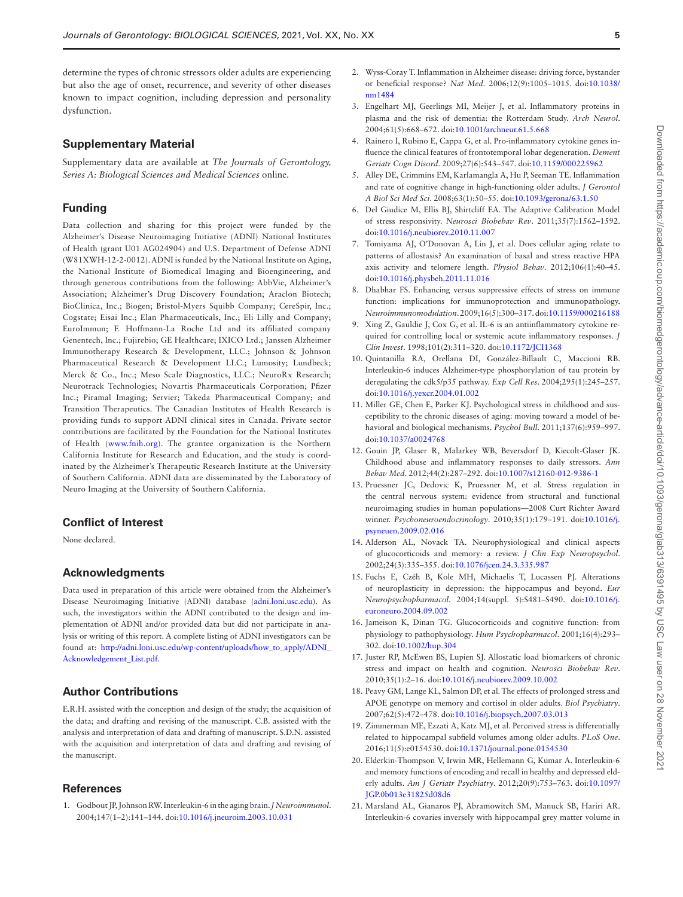determine the types of chronic stressors older adults are experiencing but also the age of onset, recurrence, and severity of other diseases known to impact cognition, including depression and personality dysfunction.

# **Supplementary Material**

Supplementary data are available at *The Journals of Gerontology, Series A: Biological Sciences and Medical Sciences* online.

## **Funding**

Data collection and sharing for this project were funded by the Alzheimer's Disease Neuroimaging Initiative (ADNI) National Institutes of Health (grant U01 AG024904) and U.S. Department of Defense ADNI (W81XWH-12-2-0012). ADNI is funded by the National Institute on Aging, the National Institute of Biomedical Imaging and Bioengineering, and through generous contributions from the following: AbbVie, Alzheimer's Association; Alzheimer's Drug Discovery Foundation; Araclon Biotech; BioClinica, Inc.; Biogen; Bristol-Myers Squibb Company; CereSpir, Inc.; Cogstate; Eisai Inc.; Elan Pharmaceuticals, Inc.; Eli Lilly and Company; EuroImmun; F. Hoffmann-La Roche Ltd and its affiliated company Genentech, Inc.; Fujirebio; GE Healthcare; IXICO Ltd.; Janssen Alzheimer Immunotherapy Research & Development, LLC.; Johnson & Johnson Pharmaceutical Research & Development LLC.; Lumosity; Lundbeck; Merck & Co., Inc.; Meso Scale Diagnostics, LLC.; NeuroRx Research; Neurotrack Technologies; Novartis Pharmaceuticals Corporation; Pfizer Inc.; Piramal Imaging; Servier; Takeda Pharmaceutical Company; and Transition Therapeutics. The Canadian Institutes of Health Research is providing funds to support ADNI clinical sites in Canada. Private sector contributions are facilitated by the Foundation for the National Institutes of Health [\(www.fnih.org\)](http://www.fnih.org). The grantee organization is the Northern California Institute for Research and Education, and the study is coordinated by the Alzheimer's Therapeutic Research Institute at the University of Southern California. ADNI data are disseminated by the Laboratory of Neuro Imaging at the University of Southern California.

# **Conflict of Interest**

None declared.

#### **Acknowledgments**

Data used in preparation of this article were obtained from the Alzheimer's Disease Neuroimaging Initiative (ADNI) database [\(adni.loni.usc.edu\)](http://adni.loni.usc.edu). As such, the investigators within the ADNI contributed to the design and implementation of ADNI and/or provided data but did not participate in analysis or writing of this report. A complete listing of ADNI investigators can be found at: [http://adni.loni.usc.edu/wp-content/uploads/how\\_to\\_apply/ADNI\\_](http://adni.loni.usc.edu/wp-content/uploads/how_to_apply/ADNI_Acknowledgement_List.pdf) [Acknowledgement\\_List.pdf](http://adni.loni.usc.edu/wp-content/uploads/how_to_apply/ADNI_Acknowledgement_List.pdf).

# **Author Contributions**

E.R.H. assisted with the conception and design of the study; the acquisition of the data; and drafting and revising of the manuscript. C.B. assisted with the analysis and interpretation of data and drafting of manuscript. S.D.N. assisted with the acquisition and interpretation of data and drafting and revising of the manuscript.

#### **References**

<span id="page-4-0"></span>1. Godbout JP, Johnson RW. Interleukin-6 in the aging brain. *J Neuroimmunol*. 2004;147(1–2):141–144. doi:[10.1016/j.jneuroim.2003.10.031](https://doi.org/10.1016/j.jneuroim.2003.10.031)

- <span id="page-4-1"></span>2. Wyss-Coray T. Inflammation in Alzheimer disease: driving force, bystander or beneficial response? *Nat Med*. 2006;12(9):1005–1015. doi[:10.1038/](https://doi.org/10.1038/nm1484) [nm1484](https://doi.org/10.1038/nm1484)
- <span id="page-4-2"></span>3. Engelhart MJ, Geerlings MI, Meijer J, et al. Inflammatory proteins in plasma and the risk of dementia: the Rotterdam Study. *Arch Neurol*. 2004:61(5):668–672. doi:[10.1001/archneur.61.5.668](https://doi.org/10.1001/archneur.61.5.668)
- <span id="page-4-3"></span>4. Rainero I, Rubino E, Cappa G, et al. Pro-inflammatory cytokine genes influence the clinical features of frontotemporal lobar degeneration. *Dement Geriatr Cogn Disord*. 2009;27(6):543–547. doi:[10.1159/000225962](https://doi.org/10.1159/000225962)
- <span id="page-4-4"></span>5. Alley DE, Crimmins EM, Karlamangla A, Hu P, Seeman TE. Inflammation and rate of cognitive change in high-functioning older adults. *J Gerontol A Biol Sci Med Sci*. 2008;63(1):50–55. doi[:10.1093/gerona/63.1.50](https://doi.org/10.1093/gerona/63.1.50)
- <span id="page-4-5"></span>6. Del Giudice M, Ellis BJ, Shirtcliff EA. The Adaptive Calibration Model of stress responsivity. *Neurosci Biobehav Rev*. 2011;35(7):1562–1592. doi[:10.1016/j.neubiorev.2010.11.007](https://doi.org/10.1016/j.neubiorev.2010.11.007)
- <span id="page-4-6"></span>7. Tomiyama AJ, O'Donovan A, Lin J, et al. Does cellular aging relate to patterns of allostasis? An examination of basal and stress reactive HPA axis activity and telomere length. *Physiol Behav*. 2012;106(1):40–45. doi[:10.1016/j.physbeh.2011.11.016](https://doi.org/10.1016/j.physbeh.2011.11.016)
- <span id="page-4-7"></span>8. Dhabhar FS. Enhancing versus suppressive effects of stress on immune function: implications for immunoprotection and immunopathology. *Neuroimmunomodulation*. 2009;16(5):300–317. doi[:10.1159/000216188](https://doi.org/10.1159/000216188)
- <span id="page-4-8"></span>9. Xing Z, Gauldie J, Cox G, et al. IL-6 is an antiinflammatory cytokine required for controlling local or systemic acute inflammatory responses. *J Clin Invest*. 1998;101(2):311–320. doi[:10.1172/JCI1368](https://doi.org/10.1172/JCI1368)
- <span id="page-4-9"></span>10. Quintanilla RA, Orellana DI, González-Billault C, Maccioni RB. Interleukin-6 induces Alzheimer-type phosphorylation of tau protein by deregulating the cdk5/p35 pathway. *Exp Cell Res*. 2004;295(1):245–257. doi[:10.1016/j.yexcr.2004.01.002](https://doi.org/10.1016/j.yexcr.2004.01.002)
- <span id="page-4-10"></span>11. Miller GE, Chen E, Parker KJ. Psychological stress in childhood and susceptibility to the chronic diseases of aging: moving toward a model of behavioral and biological mechanisms. *Psychol Bull*. 2011;137(6):959–997. doi[:10.1037/a0024768](https://doi.org/10.1037/a0024768)
- <span id="page-4-11"></span>12. Gouin JP, Glaser R, Malarkey WB, Beversdorf D, Kiecolt-Glaser JK. Childhood abuse and inflammatory responses to daily stressors. *Ann Behav Med*. 2012;44(2):287–292. doi[:10.1007/s12160-012-9386-1](https://doi.org/10.1007/s12160-012-9386-1)
- <span id="page-4-12"></span>13. Pruessner JC, Dedovic K, Pruessner M, et al. Stress regulation in the central nervous system: evidence from structural and functional neuroimaging studies in human populations—2008 Curt Richter Award winner. *Psychoneuroendocrinology*. 2010;35(1):179–191. doi:[10.1016/j.](https://doi.org/10.1016/j.psyneuen.2009.02.016) [psyneuen.2009.02.016](https://doi.org/10.1016/j.psyneuen.2009.02.016)
- <span id="page-4-13"></span>14. Alderson AL, Novack TA. Neurophysiological and clinical aspects of glucocorticoids and memory: a review. *J Clin Exp Neuropsychol*. 2002;24(3):335–355. doi:[10.1076/jcen.24.3.335.987](https://doi.org/10.1076/jcen.24.3.335.987)
- <span id="page-4-14"></span>15. Fuchs E, Czéh B, Kole MH, Michaelis T, Lucassen PJ. Alterations of neuroplasticity in depression: the hippocampus and beyond. *Eur Neuropsychopharmacol*. 2004;14(suppl. 5):S481–S490. doi:[10.1016/j.](https://doi.org/10.1016/j.euroneuro.2004.09.002) [euroneuro.2004.09.002](https://doi.org/10.1016/j.euroneuro.2004.09.002)
- 16. Jameison K, Dinan TG. Glucocorticoids and cognitive function: from physiology to pathophysiology. *Hum Psychopharmacol*. 2001;16(4):293– 302. doi:[10.1002/hup.304](https://doi.org/10.1002/hup.304)
- <span id="page-4-15"></span>17. Juster RP, McEwen BS, Lupien SJ. Allostatic load biomarkers of chronic stress and impact on health and cognition. *Neurosci Biobehav Rev*. 2010;35(1):2–16. doi:[10.1016/j.neubiorev.2009.10.002](https://doi.org/10.1016/j.neubiorev.2009.10.002)
- <span id="page-4-16"></span>18. Peavy GM, Lange KL, Salmon DP, et al. The effects of prolonged stress and APOE genotype on memory and cortisol in older adults. *Biol Psychiatry*. 2007;62(5):472–478. doi:[10.1016/j.biopsych.2007.03.013](https://doi.org/10.1016/j.biopsych.2007.03.013)
- <span id="page-4-17"></span>19. Zimmerman ME, Ezzati A, Katz MJ, et al. Perceived stress is differentially related to hippocampal subfield volumes among older adults. *PLoS One*. 2016;11(5):e0154530. doi[:10.1371/journal.pone.0154530](https://doi.org/10.1371/journal.pone.0154530)
- <span id="page-4-18"></span>20. Elderkin-Thompson V, Irwin MR, Hellemann G, Kumar A. Interleukin-6 and memory functions of encoding and recall in healthy and depressed elderly adults. *Am J Geriatr Psychiatry*. 2012;20(9):753–763. doi[:10.1097/](https://doi.org/10.1097/JGP.0b013e31825d08d6) [JGP.0b013e31825d08d6](https://doi.org/10.1097/JGP.0b013e31825d08d6)
- <span id="page-4-19"></span>21. Marsland AL, Gianaros PJ, Abramowitch SM, Manuck SB, Hariri AR. Interleukin-6 covaries inversely with hippocampal grey matter volume in